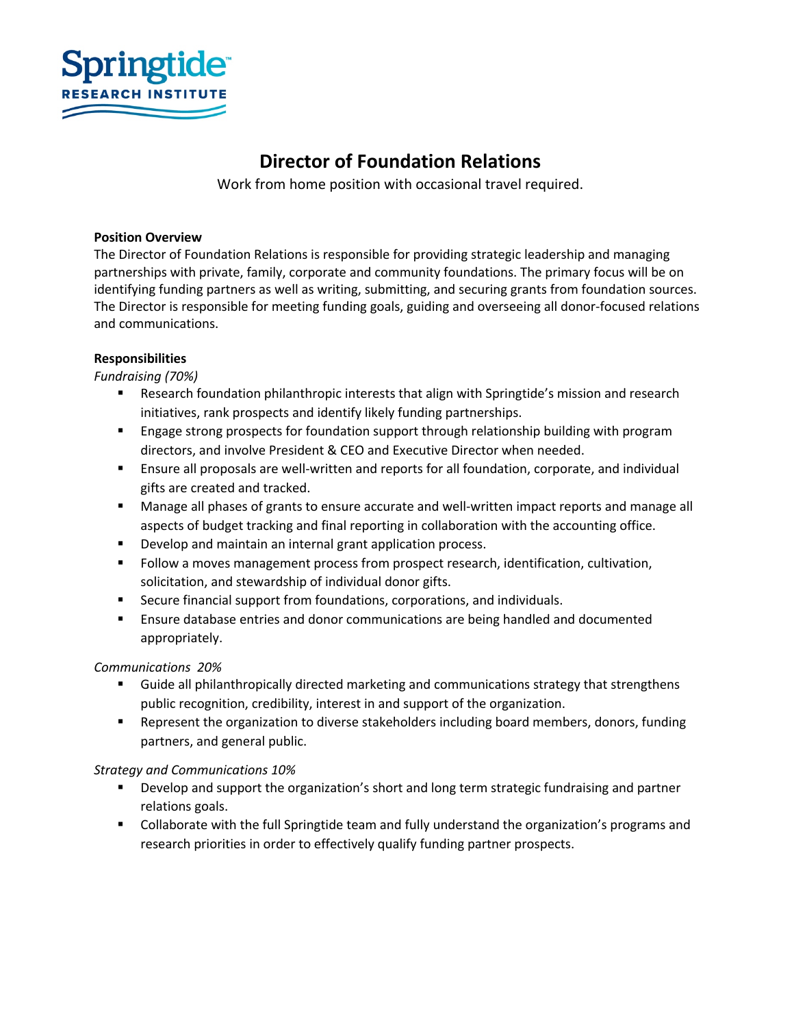

# **Director of Foundation Relations**

Work from home position with occasional travel required.

### **Position Overview**

The Director of Foundation Relations is responsible for providing strategic leadership and managing partnerships with private, family, corporate and community foundations. The primary focus will be on identifying funding partners as well as writing, submitting, and securing grants from foundation sources. The Director is responsible for meeting funding goals, guiding and overseeing all donor-focused relations and communications.

## **Responsibilities**

*Fundraising (70%)* 

- Research foundation philanthropic interests that align with Springtide's mission and research initiatives, rank prospects and identify likely funding partnerships.
- Engage strong prospects for foundation support through relationship building with program directors, and involve President & CEO and Executive Director when needed.
- **■** Ensure all proposals are well-written and reports for all foundation, corporate, and individual gifts are created and tracked.
- Manage all phases of grants to ensure accurate and well-written impact reports and manage all aspects of budget tracking and final reporting in collaboration with the accounting office.
- Develop and maintain an internal grant application process.
- Follow a moves management process from prospect research, identification, cultivation, solicitation, and stewardship of individual donor gifts.
- Secure financial support from foundations, corporations, and individuals.
- Ensure database entries and donor communications are being handled and documented appropriately.

## *Communications 20%*

- § Guide all philanthropically directed marketing and communications strategy that strengthens public recognition, credibility, interest in and support of the organization.
- Represent the organization to diverse stakeholders including board members, donors, funding partners, and general public.

## *Strategy and Communications 10%*

- Develop and support the organization's short and long term strategic fundraising and partner relations goals.
- Collaborate with the full Springtide team and fully understand the organization's programs and research priorities in order to effectively qualify funding partner prospects.